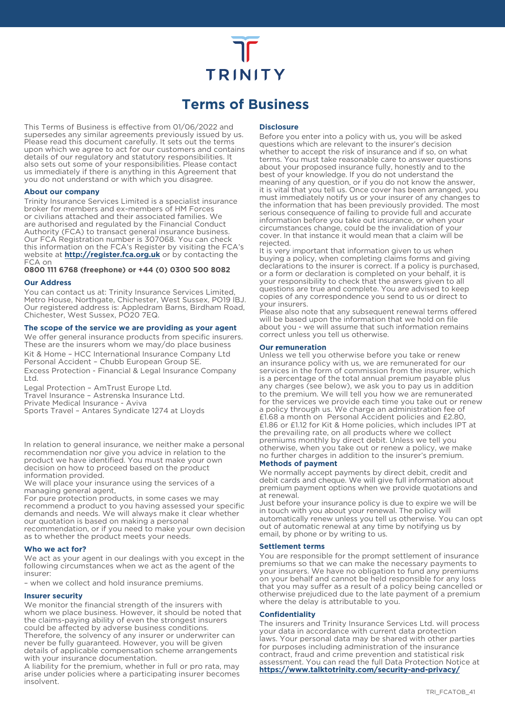# **TRINITY**

# **Terms of Business**

This Terms of Business is effective from 01/06/2022 and supersedes any similar agreements previously issued by us. Please read this document carefully. It sets out the terms upon which we agree to act for our customers and contains details of our regulatory and statutory responsibilities. It also sets out some of your responsibilities. Please contact us immediately if there is anything in this Agreement that you do not understand or with which you disagree.

# **About our company**

Trinity Insurance Services Limited is a specialist insurance broker for members and ex-members of HM Forces or civilians attached and their associated families. We are authorised and regulated by the Financial Conduct Authority (FCA) to transact general insurance business. Our FCA Registration number is 307068. You can check this information on the FCA's Register by visiting the FCA's website at **http://register.fca.org.uk** or by contacting the FCA on

**0800 111 6768 (freephone) or +44 (0) 0300 500 8082**

# **Our Address**

You can contact us at: Trinity Insurance Services Limited, Metro House, Northgate, Chichester, West Sussex, PO19 lBJ. Our registered address is: Appledram Barns, Birdham Road, Chichester, West Sussex, PO20 7EQ.

# **The scope of the service we are providing as your agent**

We offer general insurance products from specific insurers. These are the insurers whom we may/do place business Kit & Home – HCC International Insurance Company Ltd Personal Accident – Chubb European Group SE. Excess Protection - Financial & Legal Insurance Company Ltd.

Legal Protection – AmTrust Europe Ltd. Travel Insurance – Astrenska Insurance Ltd.

Private Medical Insurance - Aviva

Sports Travel – Antares Syndicate 1274 at Lloyds

In relation to general insurance, we neither make a personal recommendation nor give you advice in relation to the product we have identified. You must make your own decision on how to proceed based on the product information provided.

We will place your insurance using the services of a managing general agent,

For pure protection products, in some cases we may recommend a product to you having assessed your specific demands and needs. We will always make it clear whether our quotation is based on making a personal

recommendation, or if you need to make your own decision as to whether the product meets your needs.

#### **Who we act for?**

We act as your agent in our dealings with you except in the following circumstances when we act as the agent of the insurer:

– when we collect and hold insurance premiums.

# **Insurer security**

We monitor the financial strength of the insurers with whom we place business. However, it should be noted that the claims-paying ability of even the strongest insurers could be affected by adverse business conditions. Therefore, the solvency of any insurer or underwriter can never be fully guaranteed. However, you will be given details of applicable compensation scheme arrangements with your insurance documentation.

A liability for the premium, whether in full or pro rata, may arise under policies where a participating insurer becomes insolvent.

### **Disclosure**

Before you enter into a policy with us, you will be asked questions which are relevant to the insurer's decision whether to accept the risk of insurance and if so, on what terms. You must take reasonable care to answer questions about your proposed insurance fully, honestly and to the best of your knowledge. If you do not understand the meaning of any question, or if you do not know the answer, it is vital that you tell us. Once cover has been arranged, you must immediately notify us or your insurer of any changes to the information that has been previously provided. The most serious consequence of failing to provide full and accurate information before you take out insurance, or when your circumstances change, could be the invalidation of your cover. In that instance it would mean that a claim will be rejected.

It is very important that information given to us when buying a policy, when completing claims forms and giving declarations to the insurer is correct. If a policy is purchased, or a form or declaration is completed on your behalf, it is your responsibility to check that the answers given to all questions are true and complete. You are advised to keep copies of any correspondence you send to us or direct to your insurers.

Please also note that any subsequent renewal terms offered will be based upon the information that we hold on file about you - we will assume that such information remains correct unless you tell us otherwise.

# **Our remuneration**

Unless we tell you otherwise before you take or renew an insurance policy with us, we are remunerated for our services in the form of commission from the insurer, which is a percentage of the total annual premium payable plus any charges (see below), we ask you to pay us in addition to the premium. We will tell you how we are remunerated for the services we provide each time you take out or renew a policy through us. We charge an administration fee of £1.68 a month on Personal Accident policies and £2.80, £1.86 or £1.12 for Kit & Home policies, which includes IPT at the prevailing rate, on all products where we collect premiums monthly by direct debit. Unless we tell you otherwise, when you take out or renew a policy, we make no further charges in addition to the insurer's premium. **Methods of payment**

We normally accept payments by direct debit, credit and debit cards and cheque. We will give full information about premium payment options when we provide quotations and at renewal.

Just before your insurance policy is due to expire we will be in touch with you about your renewal. The policy will automatically renew unless you tell us otherwise. You can opt out of automatic renewal at any time by notifying us by email, by phone or by writing to us.

#### **Settlement terms**

You are responsible for the prompt settlement of insurance premiums so that we can make the necessary payments to your insurers. We have no obligation to fund any premiums on your behalf and cannot be held responsible for any loss that you may suffer as a result of a policy being cancelled or otherwise prejudiced due to the late payment of a premium where the delay is attributable to you.

#### **Confidentiality**

The insurers and Trinity Insurance Services Ltd. will process your data in accordance with current data protection laws. Your personal data may be shared with other parties for purposes including administration of the insurance contract, fraud and crime prevention and statistical risk assessment. You can read the full Data Protection Notice at **https://www.talktotrinity.com/security-and-privacy/**